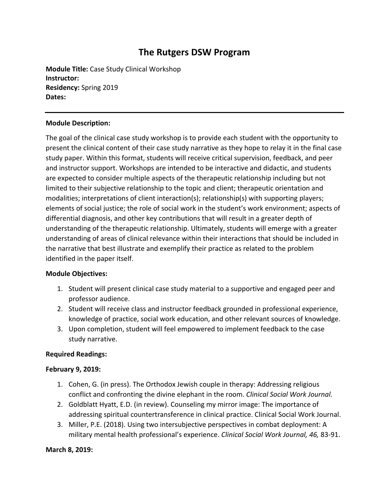# **The Rutgers DSW Program**

**Module Title:** Case Study Clinical Workshop **Instructor: Residency:** Spring 2019 **Dates:**

# **Module Description:**

The goal of the clinical case study workshop is to provide each student with the opportunity to present the clinical content of their case study narrative as they hope to relay it in the final case study paper. Within this format, students will receive critical supervision, feedback, and peer and instructor support. Workshops are intended to be interactive and didactic, and students are expected to consider multiple aspects of the therapeutic relationship including but not limited to their subjective relationship to the topic and client; therapeutic orientation and modalities; interpretations of client interaction(s); relationship(s) with supporting players; elements of social justice; the role of social work in the student's work environment; aspects of differential diagnosis, and other key contributions that will result in a greater depth of understanding of the therapeutic relationship. Ultimately, students will emerge with a greater understanding of areas of clinical relevance within their interactions that should be included in the narrative that best illustrate and exemplify their practice as related to the problem identified in the paper itself.

## **Module Objectives:**

- 1. Student will present clinical case study material to a supportive and engaged peer and professor audience.
- 2. Student will receive class and instructor feedback grounded in professional experience, knowledge of practice, social work education, and other relevant sources of knowledge.
- 3. Upon completion, student will feel empowered to implement feedback to the case study narrative.

# **Required Readings:**

## **February 9, 2019:**

- 1. Cohen, G. (in press). The Orthodox Jewish couple in therapy: Addressing religious conflict and confronting the divine elephant in the room. *Clinical Social Work Journal.*
- 2. Goldblatt Hyatt, E.D. (in review). Counseling my mirror image: The importance of addressing spiritual countertransference in clinical practice. Clinical Social Work Journal.
- 3. Miller, P.E. (2018). Using two intersubjective perspectives in combat deployment: A military mental health professional's experience. *Clinical Social Work Journal, 46,* 83-91.

## **March 8, 2019:**